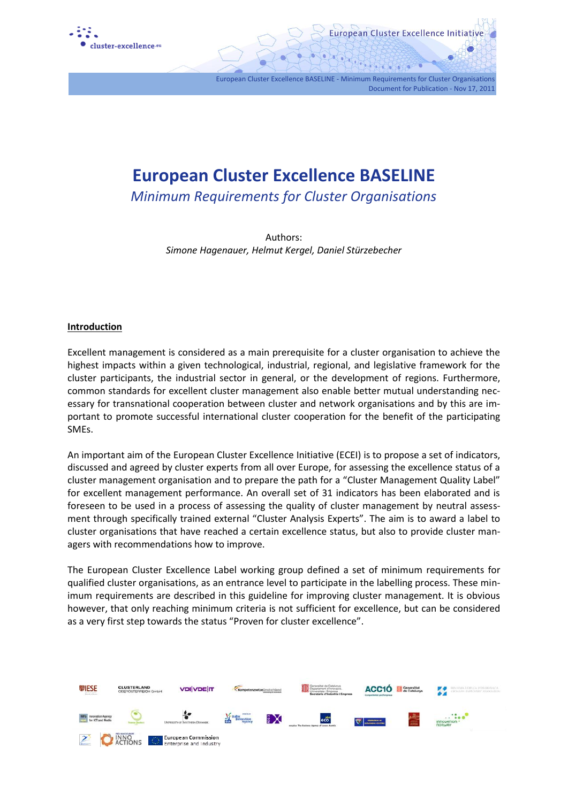

**European Cluster Excellence BASELINE** 

European Cluster Excellence BASELINE - Minimum Requirements for Cluster Organisations

Document for Publication - Nov 17, 2011

European Cluster Excellence Initiative

*Minimum Requirements for Cluster Organisations* 

Authors: *Simone Hagenauer, Helmut Kergel, Daniel Stürzebecher* 

#### **Introduction**

Excellent management is considered as a main prerequisite for a cluster organisation to achieve the highest impacts within a given technological, industrial, regional, and legislative framework for the cluster participants, the industrial sector in general, or the development of regions. Furthermore, common standards for excellent cluster management also enable better mutual understanding necessary for transnational cooperation between cluster and network organisations and by this are important to promote successful international cluster cooperation for the benefit of the participating SMEs.

An important aim of the European Cluster Excellence Initiative (ECEI) is to propose a set of indicators, discussed and agreed by cluster experts from all over Europe, for assessing the excellence status of a cluster management organisation and to prepare the path for a "Cluster Management Quality Label" for excellent management performance. An overall set of 31 indicators has been elaborated and is foreseen to be used in a process of assessing the quality of cluster management by neutral assessment through specifically trained external "Cluster Analysis Experts". The aim is to award a label to cluster organisations that have reached a certain excellence status, but also to provide cluster managers with recommendations how to improve.

The European Cluster Excellence Label working group defined a set of minimum requirements for qualified cluster organisations, as an entrance level to participate in the labelling process. These minimum requirements are described in this guideline for improving cluster management. It is obvious however, that only reaching minimum criteria is not sufficient for excellence, but can be considered as a very first step towards the status "Proven for cluster excellence".

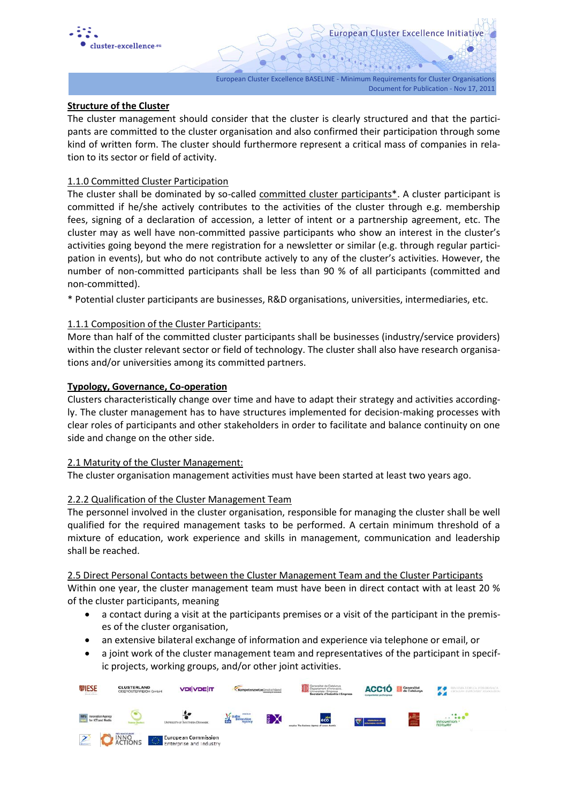

### **Structure of the Cluster**

The cluster management should consider that the cluster is clearly structured and that the participants are committed to the cluster organisation and also confirmed their participation through some kind of written form. The cluster should furthermore represent a critical mass of companies in relation to its sector or field of activity.

### 1.1.0 Committed Cluster Participation

The cluster shall be dominated by so-called committed cluster participants\*. A cluster participant is committed if he/she actively contributes to the activities of the cluster through e.g. membership fees, signing of a declaration of accession, a letter of intent or a partnership agreement, etc. The cluster may as well have non-committed passive participants who show an interest in the cluster's activities going beyond the mere registration for a newsletter or similar (e.g. through regular participation in events), but who do not contribute actively to any of the cluster's activities. However, the number of non-committed participants shall be less than 90 % of all participants (committed and non-committed).

\* Potential cluster participants are businesses, R&D organisations, universities, intermediaries, etc.

#### 1.1.1 Composition of the Cluster Participants:

More than half of the committed cluster participants shall be businesses (industry/service providers) within the cluster relevant sector or field of technology. The cluster shall also have research organisations and/or universities among its committed partners.

#### **Typology, Governance, Co-operation**

Clusters characteristically change over time and have to adapt their strategy and activities accordingly. The cluster management has to have structures implemented for decision-making processes with clear roles of participants and other stakeholders in order to facilitate and balance continuity on one side and change on the other side.

#### 2.1 Maturity of the Cluster Management:

The cluster organisation management activities must have been started at least two years ago.

### 2.2.2 Qualification of the Cluster Management Team

The personnel involved in the cluster organisation, responsible for managing the cluster shall be well qualified for the required management tasks to be performed. A certain minimum threshold of a mixture of education, work experience and skills in management, communication and leadership shall be reached.

2.5 Direct Personal Contacts between the Cluster Management Team and the Cluster Participants Within one year, the cluster management team must have been in direct contact with at least 20 % of the cluster participants, meaning

- a contact during a visit at the participants premises or a visit of the participant in the premises of the cluster organisation,
- an extensive bilateral exchange of information and experience via telephone or email, or
- a joint work of the cluster management team and representatives of the participant in specific projects, working groups, and/or other joint activities.

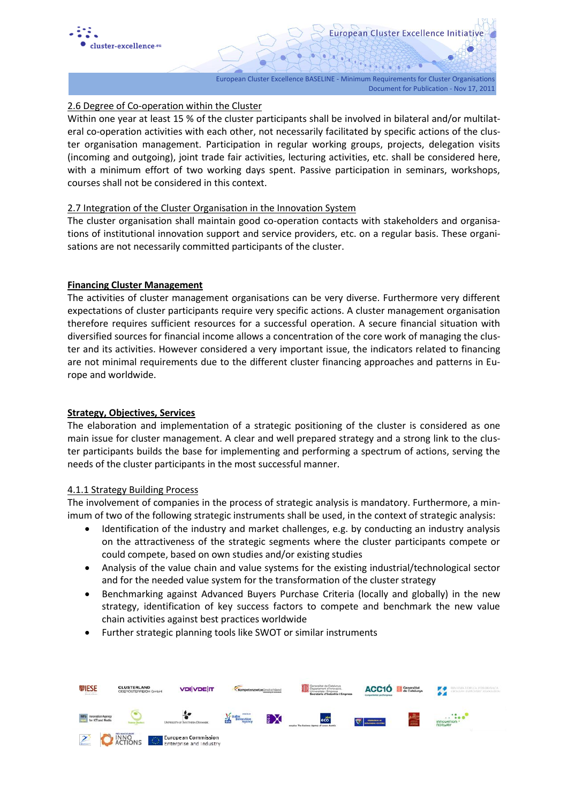

## 2.6 Degree of Co-operation within the Cluster

Within one year at least 15 % of the cluster participants shall be involved in bilateral and/or multilateral co-operation activities with each other, not necessarily facilitated by specific actions of the cluster organisation management. Participation in regular working groups, projects, delegation visits (incoming and outgoing), joint trade fair activities, lecturing activities, etc. shall be considered here, with a minimum effort of two working days spent. Passive participation in seminars, workshops, courses shall not be considered in this context.

#### 2.7 Integration of the Cluster Organisation in the Innovation System

The cluster organisation shall maintain good co-operation contacts with stakeholders and organisations of institutional innovation support and service providers, etc. on a regular basis. These organisations are not necessarily committed participants of the cluster.

#### **Financing Cluster Management**

The activities of cluster management organisations can be very diverse. Furthermore very different expectations of cluster participants require very specific actions. A cluster management organisation therefore requires sufficient resources for a successful operation. A secure financial situation with diversified sources for financial income allows a concentration of the core work of managing the cluster and its activities. However considered a very important issue, the indicators related to financing are not minimal requirements due to the different cluster financing approaches and patterns in Europe and worldwide.

### **Strategy, Objectives, Services**

The elaboration and implementation of a strategic positioning of the cluster is considered as one main issue for cluster management. A clear and well prepared strategy and a strong link to the cluster participants builds the base for implementing and performing a spectrum of actions, serving the needs of the cluster participants in the most successful manner.

#### 4.1.1 Strategy Building Process

The involvement of companies in the process of strategic analysis is mandatory. Furthermore, a minimum of two of the following strategic instruments shall be used, in the context of strategic analysis:

- Identification of the industry and market challenges, e.g. by conducting an industry analysis on the attractiveness of the strategic segments where the cluster participants compete or could compete, based on own studies and/or existing studies
- Analysis of the value chain and value systems for the existing industrial/technological sector and for the needed value system for the transformation of the cluster strategy
- Benchmarking against Advanced Buyers Purchase Criteria (locally and globally) in the new strategy, identification of key success factors to compete and benchmark the new value chain activities against best practices worldwide
- Further strategic planning tools like SWOT or similar instruments

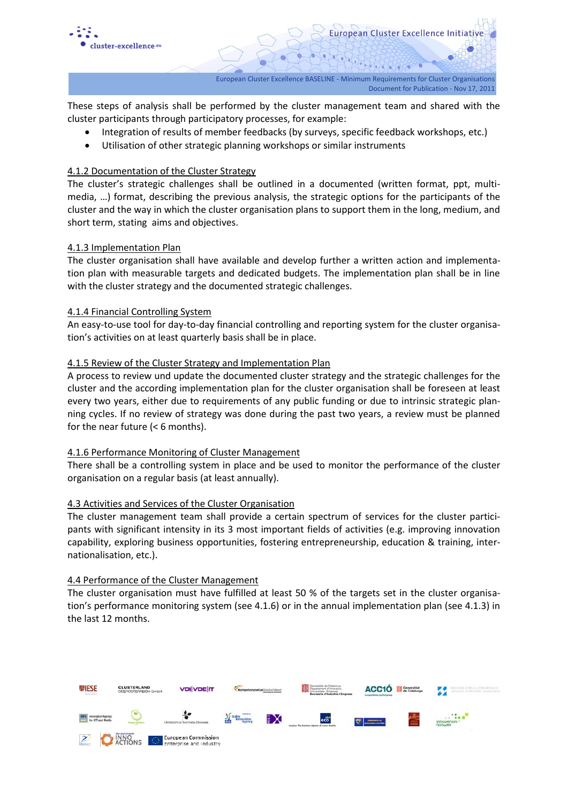

These steps of analysis shall be performed by the cluster management team and shared with the cluster participants through participatory processes, for example:

- Integration of results of member feedbacks (by surveys, specific feedback workshops, etc.)
- Utilisation of other strategic planning workshops or similar instruments

### 4.1.2 Documentation of the Cluster Strategy

The cluster's strategic challenges shall be outlined in a documented (written format, ppt, multimedia, …) format, describing the previous analysis, the strategic options for the participants of the cluster and the way in which the cluster organisation plans to support them in the long, medium, and short term, stating aims and objectives.

#### 4.1.3 Implementation Plan

The cluster organisation shall have available and develop further a written action and implementation plan with measurable targets and dedicated budgets. The implementation plan shall be in line with the cluster strategy and the documented strategic challenges.

#### 4.1.4 Financial Controlling System

An easy-to-use tool for day-to-day financial controlling and reporting system for the cluster organisation's activities on at least quarterly basis shall be in place.

#### 4.1.5 Review of the Cluster Strategy and Implementation Plan

A process to review und update the documented cluster strategy and the strategic challenges for the cluster and the according implementation plan for the cluster organisation shall be foreseen at least every two years, either due to requirements of any public funding or due to intrinsic strategic planning cycles. If no review of strategy was done during the past two years, a review must be planned for the near future (< 6 months).

#### 4.1.6 Performance Monitoring of Cluster Management

There shall be a controlling system in place and be used to monitor the performance of the cluster organisation on a regular basis (at least annually).

### 4.3 Activities and Services of the Cluster Organisation

The cluster management team shall provide a certain spectrum of services for the cluster participants with significant intensity in its 3 most important fields of activities (e.g. improving innovation capability, exploring business opportunities, fostering entrepreneurship, education & training, internationalisation, etc.).

#### 4.4 Performance of the Cluster Management

The cluster organisation must have fulfilled at least 50 % of the targets set in the cluster organisation's performance monitoring system (see 4.1.6) or in the annual implementation plan (see 4.1.3) in the last 12 months.

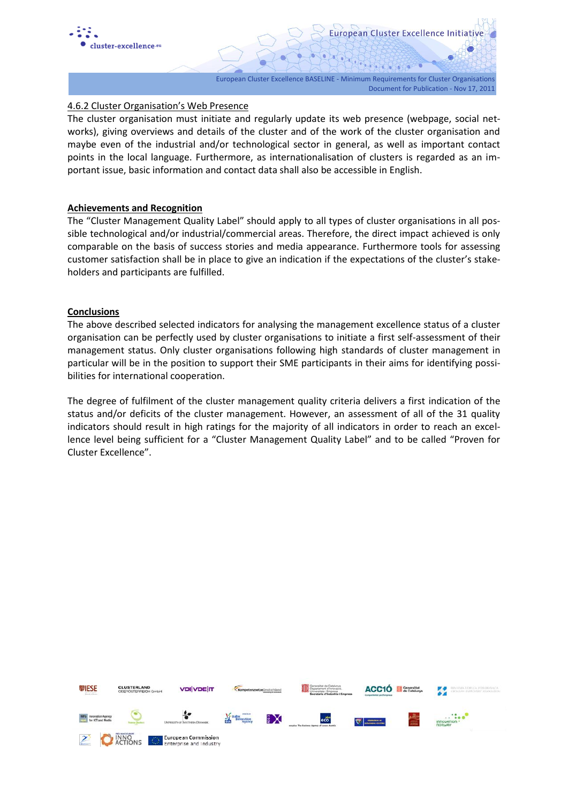

### 4.6.2 Cluster Organisation's Web Presence

The cluster organisation must initiate and regularly update its web presence (webpage, social networks), giving overviews and details of the cluster and of the work of the cluster organisation and maybe even of the industrial and/or technological sector in general, as well as important contact points in the local language. Furthermore, as internationalisation of clusters is regarded as an important issue, basic information and contact data shall also be accessible in English.

#### **Achievements and Recognition**

The "Cluster Management Quality Label" should apply to all types of cluster organisations in all possible technological and/or industrial/commercial areas. Therefore, the direct impact achieved is only comparable on the basis of success stories and media appearance. Furthermore tools for assessing customer satisfaction shall be in place to give an indication if the expectations of the cluster's stakeholders and participants are fulfilled.

#### **Conclusions**

The above described selected indicators for analysing the management excellence status of a cluster organisation can be perfectly used by cluster organisations to initiate a first self-assessment of their management status. Only cluster organisations following high standards of cluster management in particular will be in the position to support their SME participants in their aims for identifying possibilities for international cooperation.

The degree of fulfilment of the cluster management quality criteria delivers a first indication of the status and/or deficits of the cluster management. However, an assessment of all of the 31 quality indicators should result in high ratings for the majority of all indicators in order to reach an excellence level being sufficient for a "Cluster Management Quality Label" and to be called "Proven for Cluster Excellence".

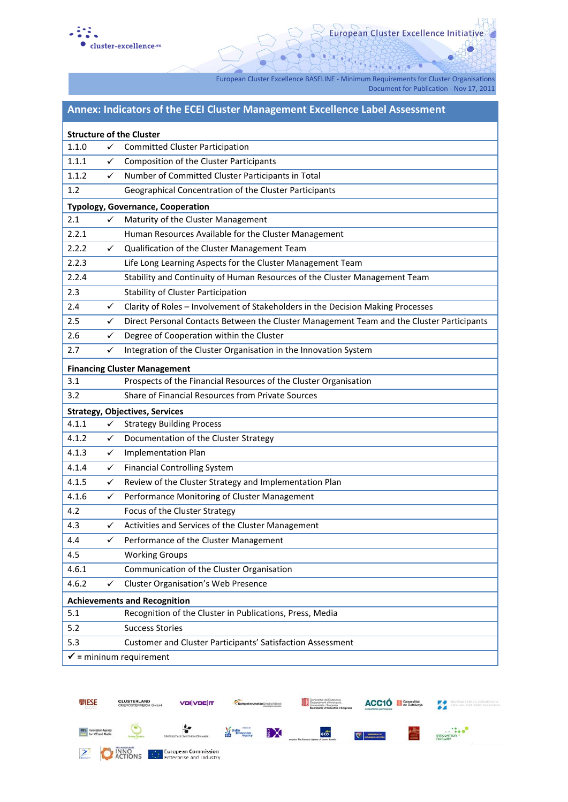

European Cluster Excellence Initiative

European Cluster Excellence BASELINE - Minimum Requirements for Cluster Organisations

Document for Publication - Nov 17, 2011

# **Annex: Indicators of the ECEI Cluster Management Excellence Label Assessment**

| <b>Structure of the Cluster</b>          |              |                                                                                           |
|------------------------------------------|--------------|-------------------------------------------------------------------------------------------|
| 1.1.0                                    | ✓            | <b>Committed Cluster Participation</b>                                                    |
| 1.1.1                                    | $\checkmark$ | Composition of the Cluster Participants                                                   |
| 1.1.2                                    | ✓            | Number of Committed Cluster Participants in Total                                         |
| 1.2                                      |              | Geographical Concentration of the Cluster Participants                                    |
| <b>Typology, Governance, Cooperation</b> |              |                                                                                           |
| 2.1                                      | ✓            | Maturity of the Cluster Management                                                        |
| 2.2.1                                    |              | Human Resources Available for the Cluster Management                                      |
| 2.2.2                                    | $\checkmark$ | Qualification of the Cluster Management Team                                              |
| 2.2.3                                    |              | Life Long Learning Aspects for the Cluster Management Team                                |
| 2.2.4                                    |              | Stability and Continuity of Human Resources of the Cluster Management Team                |
| 2.3                                      |              | <b>Stability of Cluster Participation</b>                                                 |
| 2.4                                      | $\checkmark$ | Clarity of Roles - Involvement of Stakeholders in the Decision Making Processes           |
| 2.5                                      | ✓            | Direct Personal Contacts Between the Cluster Management Team and the Cluster Participants |
| 2.6                                      | ✓            | Degree of Cooperation within the Cluster                                                  |
| 2.7                                      | ✓            | Integration of the Cluster Organisation in the Innovation System                          |
| <b>Financing Cluster Management</b>      |              |                                                                                           |
| 3.1                                      |              | Prospects of the Financial Resources of the Cluster Organisation                          |
| 3.2                                      |              | Share of Financial Resources from Private Sources                                         |
| <b>Strategy, Objectives, Services</b>    |              |                                                                                           |
| 4.1.1                                    | $\checkmark$ | <b>Strategy Building Process</b>                                                          |
| 4.1.2                                    | ✓            | Documentation of the Cluster Strategy                                                     |
| 4.1.3                                    | $\checkmark$ | <b>Implementation Plan</b>                                                                |
| 4.1.4                                    | ✓            | <b>Financial Controlling System</b>                                                       |
| 4.1.5                                    | ✓            | Review of the Cluster Strategy and Implementation Plan                                    |
| 4.1.6                                    | $\checkmark$ | Performance Monitoring of Cluster Management                                              |
| 4.2                                      |              | Focus of the Cluster Strategy                                                             |
| 4.3                                      | $\checkmark$ | Activities and Services of the Cluster Management                                         |
| 4.4                                      | ✓            | Performance of the Cluster Management                                                     |
| 4.5                                      |              | <b>Working Groups</b>                                                                     |
| 4.6.1                                    |              | Communication of the Cluster Organisation                                                 |
| 4.6.2                                    | ✓            | <b>Cluster Organisation's Web Presence</b>                                                |
| <b>Achievements and Recognition</b>      |              |                                                                                           |
| 5.1                                      |              | Recognition of the Cluster in Publications, Press, Media                                  |
| 5.2                                      |              | <b>Success Stories</b>                                                                    |
| 5.3                                      |              | Customer and Cluster Participants' Satisfaction Assessment                                |
| $\checkmark$ = mininum requirement       |              |                                                                                           |